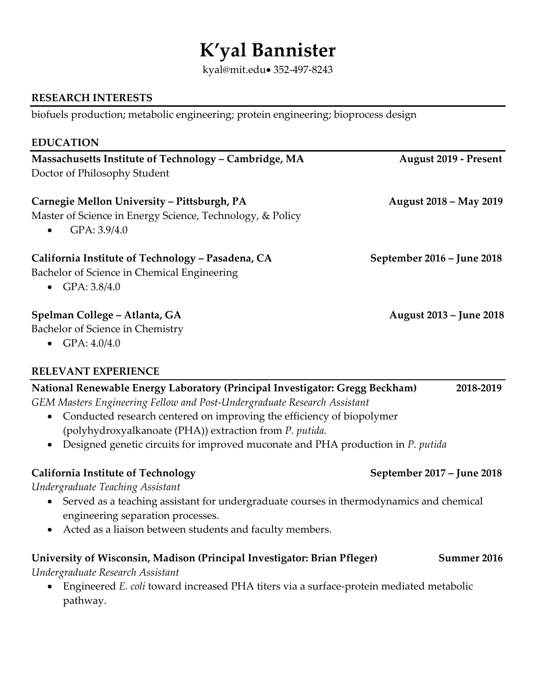# **K'yal Bannister**

kyal@mit.edu• 352-497-8243

## **RESEARCH INTERESTS**

biofuels production; metabolic engineering; protein engineering; bioprocess design

| <b>EDUCATION</b>                                                                                                                      |                              |
|---------------------------------------------------------------------------------------------------------------------------------------|------------------------------|
| Massachusetts Institute of Technology - Cambridge, MA<br>Doctor of Philosophy Student                                                 | <b>August 2019 - Present</b> |
| Carnegie Mellon University – Pittsburgh, PA<br>Master of Science in Energy Science, Technology, & Policy<br>GPA: 3.9/4.0<br>$\bullet$ | August 2018 – May 2019       |
| California Institute of Technology - Pasadena, CA<br>Bachelor of Science in Chemical Engineering<br>• $GPA: 3.8/4.0$                  | September 2016 – June 2018   |
| Spelman College – Atlanta, GA<br>Bachelor of Science in Chemistry                                                                     | August 2013 – June 2018      |

• GPA: 4.0/4.0

pathway.

### **RELEVANT EXPERIENCE**

| National Renewable Energy Laboratory (Principal Investigator: Gregg Beckham)                                                 | 2018-2019   |  |
|------------------------------------------------------------------------------------------------------------------------------|-------------|--|
| GEM Masters Engineering Fellow and Post-Undergraduate Research Assistant                                                     |             |  |
| Conducted research centered on improving the efficiency of biopolymer                                                        |             |  |
| (polyhydroxyalkanoate (PHA)) extraction from P. putida.                                                                      |             |  |
| Designed genetic circuits for improved muconate and PHA production in P. putida                                              |             |  |
| September 2017 - June 2018<br><b>California Institute of Technology</b>                                                      |             |  |
| Undergraduate Teaching Assistant                                                                                             |             |  |
| Served as a teaching assistant for undergraduate courses in thermodynamics and chemical<br>engineering separation processes. |             |  |
| Acted as a liaison between students and faculty members.                                                                     |             |  |
| University of Wisconsin, Madison (Principal Investigator: Brian Pfleger)                                                     | Summer 2016 |  |
| Undergraduate Research Assistant                                                                                             |             |  |
| Engineered E. coli toward increased PHA titers via a surface-protein mediated metabolic                                      |             |  |